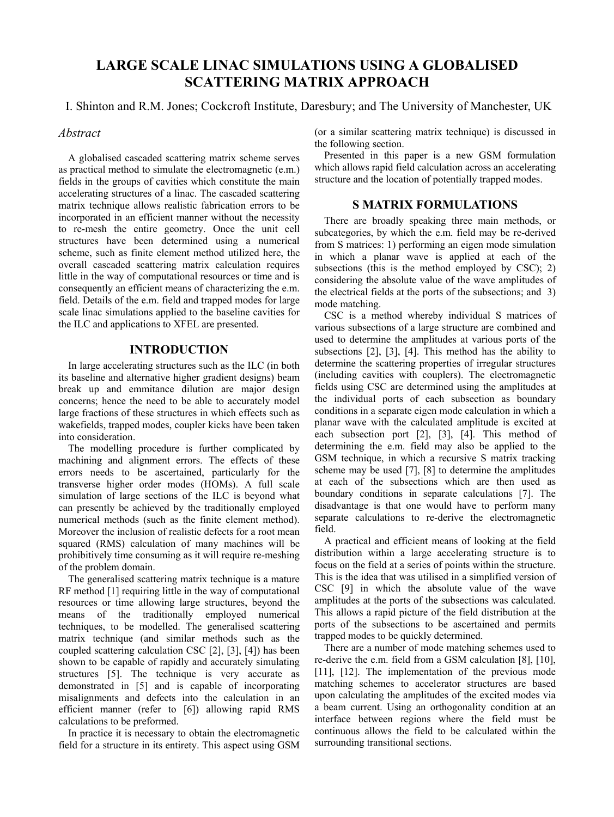# **LARGE SCALE LINAC SIMULATIONS USING A GLOBALISED SCATTERING MATRIX APPROACH**

I. Shinton and R.M. Jones; Cockcroft Institute, Daresbury; and The University of Manchester, UK

## *Abstract*

A globalised cascaded scattering matrix scheme serves as practical method to simulate the electromagnetic (e.m.) fields in the groups of cavities which constitute the main accelerating structures of a linac. The cascaded scattering matrix technique allows realistic fabrication errors to be incorporated in an efficient manner without the necessity to re-mesh the entire geometry. Once the unit cell structures have been determined using a numerical scheme, such as finite element method utilized here, the overall cascaded scattering matrix calculation requires little in the way of computational resources or time and is consequently an efficient means of characterizing the e.m. field. Details of the e.m. field and trapped modes for large scale linac simulations applied to the baseline cavities for the ILC and applications to XFEL are presented.

## **INTRODUCTION**

In large accelerating structures such as the ILC (in both its baseline and alternative higher gradient designs) beam break up and emmitance dilution are major design concerns; hence the need to be able to accurately model large fractions of these structures in which effects such as wakefields, trapped modes, coupler kicks have been taken into consideration.

The modelling procedure is further complicated by machining and alignment errors. The effects of these errors needs to be ascertained, particularly for the transverse higher order modes (HOMs). A full scale simulation of large sections of the ILC is beyond what can presently be achieved by the traditionally employed numerical methods (such as the finite element method). Moreover the inclusion of realistic defects for a root mean squared (RMS) calculation of many machines will be prohibitively time consuming as it will require re-meshing of the problem domain.

The generalised scattering matrix technique is a mature RF method [1] requiring little in the way of computational resources or time allowing large structures, beyond the means of the traditionally employed numerical techniques, to be modelled. The generalised scattering matrix technique (and similar methods such as the coupled scattering calculation CSC [2], [3], [4]) has been shown to be capable of rapidly and accurately simulating structures [5]. The technique is very accurate as demonstrated in [5] and is capable of incorporating misalignments and defects into the calculation in an efficient manner (refer to [6]) allowing rapid RMS calculations to be preformed.

In practice it is necessary to obtain the electromagnetic field for a structure in its entirety. This aspect using GSM (or a similar scattering matrix technique) is discussed in the following section.

Presented in this paper is a new GSM formulation which allows rapid field calculation across an accelerating structure and the location of potentially trapped modes.

## **S MATRIX FORMULATIONS**

There are broadly speaking three main methods, or subcategories, by which the e.m. field may be re-derived from S matrices: 1) performing an eigen mode simulation in which a planar wave is applied at each of the subsections (this is the method employed by CSC); 2) considering the absolute value of the wave amplitudes of the electrical fields at the ports of the subsections; and 3) mode matching.

CSC is a method whereby individual S matrices of various subsections of a large structure are combined and used to determine the amplitudes at various ports of the subsections [2], [3], [4]. This method has the ability to determine the scattering properties of irregular structures (including cavities with couplers). The electromagnetic fields using CSC are determined using the amplitudes at the individual ports of each subsection as boundary conditions in a separate eigen mode calculation in which a planar wave with the calculated amplitude is excited at each subsection port [2], [3], [4]. This method of determining the e.m. field may also be applied to the GSM technique, in which a recursive S matrix tracking scheme may be used [7], [8] to determine the amplitudes at each of the subsections which are then used as boundary conditions in separate calculations [7]. The disadvantage is that one would have to perform many separate calculations to re-derive the electromagnetic field.

A practical and efficient means of looking at the field distribution within a large accelerating structure is to focus on the field at a series of points within the structure. This is the idea that was utilised in a simplified version of CSC [9] in which the absolute value of the wave amplitudes at the ports of the subsections was calculated. This allows a rapid picture of the field distribution at the ports of the subsections to be ascertained and permits trapped modes to be quickly determined.

There are a number of mode matching schemes used to re-derive the e.m. field from a GSM calculation [8], [10], [11], [12]. The implementation of the previous mode matching schemes to accelerator structures are based upon calculating the amplitudes of the excited modes via a beam current. Using an orthogonality condition at an interface between regions where the field must be continuous allows the field to be calculated within the surrounding transitional sections.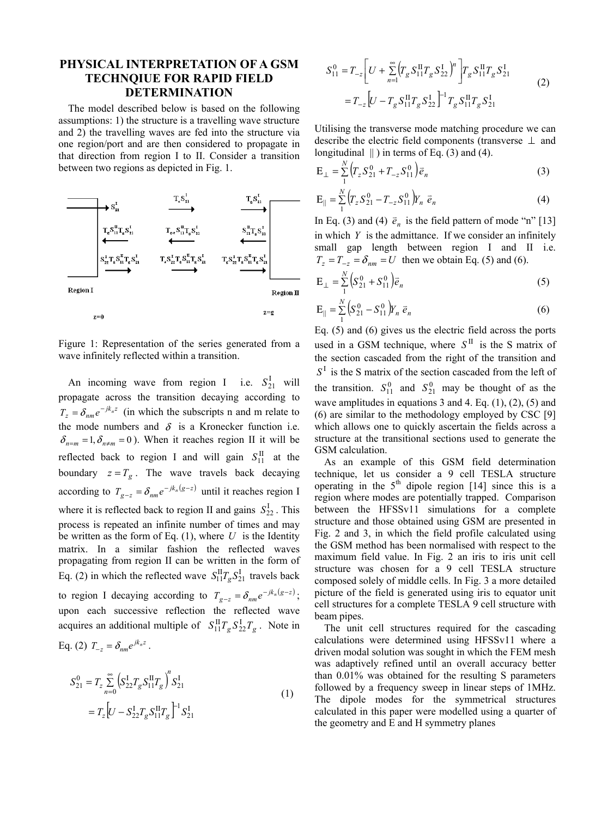## **PHYSICAL INTERPRETATION OF A GSM TECHNQIUE FOR RAPID FIELD DETERMINATION**

The model described below is based on the following assumptions: 1) the structure is a travelling wave structure and 2) the travelling waves are fed into the structure via one region/port and are then considered to propagate in that direction from region I to II. Consider a transition between two regions as depicted in Fig. 1.



Figure 1: Representation of the series generated from a wave infinitely reflected within a transition.

An incoming wave from region I i.e.  $S_{21}^{\text{I}}$  will propagate across the transition decaying according to  $T_z = \delta_{nm} e^{-jk_n z}$  (in which the subscripts n and m relate to the mode numbers and  $\delta$  is a Kronecker function i.e.  $\delta_{n=m} = 1, \delta_{n \neq m} = 0$ ). When it reaches region II it will be reflected back to region I and will gain  $S_{11}^{\text{II}}$  at the boundary  $z = T_g$ . The wave travels back decaying according to  $T_{g-z} = \delta_{nm} e^{-jk_n(g-z)}$  until it reaches region I where it is reflected back to region II and gains  $S_{22}^{\text{I}}$ . This process is repeated an infinite number of times and may be written as the form of Eq. (1), where *U* is the Identity matrix. In a similar fashion the reflected waves propagating from region II can be written in the form of Eq. (2) in which the reflected wave  $S_{11}^{II}T_gS_{21}^{I}$  travels back to region I decaying according to  $T_{g-z} = \delta_{nm} e^{-jk_n(g-z)}$ ; upon each successive reflection the reflected wave acquires an additional multiple of  $S_{11}^{\text{II}}T_g S_{22}^{\text{I}}T_g$ . Note in Eq. (2)  $T_{-z} = \delta_{nm} e^{jk_n z}$ .

$$
S_{21}^{0} = T_z \sum_{n=0}^{\infty} \left( S_{22}^{I} T_g S_{11}^{II} T_g \right)^n S_{21}^{I}
$$
  
= 
$$
T_z \left[ U - S_{22}^{I} T_g S_{11}^{II} T_g \right]^{-1} S_{21}^{I}
$$
 (1)

$$
S_{11}^{0} = T_{-z} \left[ U + \sum_{n=1}^{\infty} \left( T_{g} S_{11}^{H} T_{g} S_{22}^{1} \right)^{n} \right] T_{g} S_{11}^{H} T_{g} S_{21}^{I}
$$
  
= 
$$
T_{-z} \left[ U - T_{g} S_{11}^{H} T_{g} S_{22}^{1} \right]^{-1} T_{g} S_{11}^{H} T_{g} S_{21}^{I}
$$
 (2)

Utilising the transverse mode matching procedure we can describe the electric field components (transverse ⊥ and longitudinal  $\parallel$ ) in terms of Eq. (3) and (4).

$$
E_{\perp} = \sum_{1}^{N} \left( T_z S_{21}^0 + T_{-z} S_{11}^0 \right) \vec{e}_n \tag{3}
$$

$$
\mathbf{E}_{\parallel} = \sum_{1}^{N} \left( T_z S_{21}^0 - T_{-z} S_{11}^0 \right) Y_n \ \vec{e}_n \tag{4}
$$

In Eq. (3) and (4)  $\vec{e}_n$  is the field pattern of mode "n" [13] in which *Y* is the admittance. If we consider an infinitely small gap length between region I and II i.e.  $T_z = T_{-z} = \delta_{nm} = U$  then we obtain Eq. (5) and (6).

$$
E_{\perp} = \sum_{1}^{N} \left( S_{21}^{0} + S_{11}^{0} \right) \vec{e}_{n}
$$
 (5)

$$
\mathbf{E}_{\parallel} = \sum_{1}^{N} \left( S_{21}^{0} - S_{11}^{0} \right) Y_{n} \, \vec{e}_{n} \tag{6}
$$

Eq. (5) and (6) gives us the electric field across the ports used in a GSM technique, where  $S<sup>H</sup>$  is the S matrix of the section cascaded from the right of the transition and  $S<sup>I</sup>$  is the S matrix of the section cascaded from the left of the transition.  $S_{11}^0$  and  $S_{21}^0$  may be thought of as the wave amplitudes in equations 3 and 4. Eq. (1), (2), (5) and (6) are similar to the methodology employed by CSC [9] which allows one to quickly ascertain the fields across a structure at the transitional sections used to generate the GSM calculation.

As an example of this GSM field determination technique, let us consider a 9 cell TESLA structure operating in the  $5<sup>th</sup>$  dipole region [14] since this is a region where modes are potentially trapped. Comparison between the HFSSv11 simulations for a complete structure and those obtained using GSM are presented in Fig. 2 and 3, in which the field profile calculated using the GSM method has been normalised with respect to the maximum field value. In Fig. 2 an iris to iris unit cell structure was chosen for a 9 cell TESLA structure composed solely of middle cells. In Fig. 3 a more detailed picture of the field is generated using iris to equator unit cell structures for a complete TESLA 9 cell structure with beam pipes.

The unit cell structures required for the cascading calculations were determined using HFSSv11 where a driven modal solution was sought in which the FEM mesh was adaptively refined until an overall accuracy better than 0.01% was obtained for the resulting S parameters followed by a frequency sweep in linear steps of 1MHz. The dipole modes for the symmetrical structures calculated in this paper were modelled using a quarter of the geometry and E and H symmetry planes